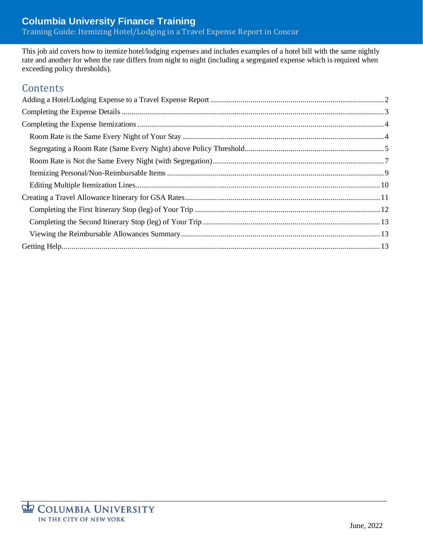This job aid covers how to itemize hotel/lodging expenses and includes examples of a hotel bill with the same nightly rate and another for when the rate differs from night to night (including a segregated expense which is required when exceeding policy thresholds).

# **Contents**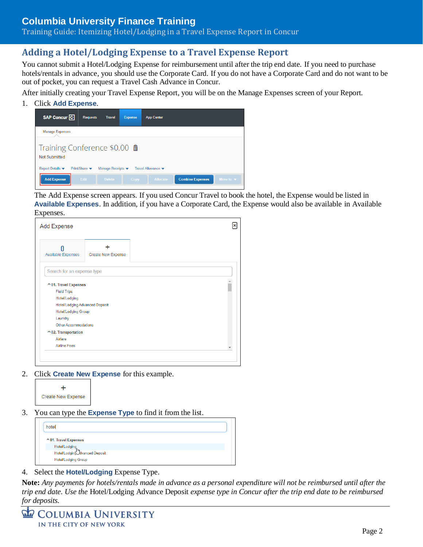Training Guide: Itemizing Hotel/Lodging in a Travel Expense Report in Concur

### <span id="page-1-0"></span>**Adding a Hotel/Lodging Expense to a Travel Expense Report**

You cannot submit a Hotel/Lodging Expense for reimbursement until after the trip end date. If you need to purchase hotels/rentals in advance, you should use the Corporate Card. If you do not have a Corporate Card and do not want to be out of pocket, you can request a Travel Cash Advance in Concur.

After initially creating your Travel Expense Report, you will be on the Manage Expenses screen of your Report.

1. Click **Add Expense**.



The Add Expense screen appears. If you used Concur Travel to book the hotel, the Expense would be listed in **Available Expenses**. In addition, if you have a Corporate Card, the Expense would also be available in Available Expenses.

| <b>Add Expense</b>                    |                           |  |
|---------------------------------------|---------------------------|--|
| <b>Available Expenses</b>             | <b>Create New Expense</b> |  |
| Search for an expense type            |                           |  |
| ↑ 01. Travel Expenses                 |                           |  |
| <b>Field Trips</b>                    |                           |  |
| Hotel/Lodging                         |                           |  |
| <b>Hotel/Lodging Advanced Deposit</b> |                           |  |
| Hotel/Lodging Group                   |                           |  |
| Laundry                               |                           |  |
| Other Accommodations                  |                           |  |
| $\sim$ 02. Transportation             |                           |  |
|                                       |                           |  |
| Airfare                               |                           |  |

2. Click **Create New Expense** for this example.



3. You can type the **Expense Type** to find it from the list.



4. Select the **Hotel/Lodging** Expense Type.

**Note:** *Any payments for hotels/rentals made in advance as a personal expenditure will not be reimbursed until after the trip end date. Use the* Hotel/Lodging Advance Deposit *expense type in Concur after the trip end date to be reimbursed for deposits.*

| <b>COLUMBIA UNIVERSITY</b> |
|----------------------------|
| IN THE CITY OF NEW YORK    |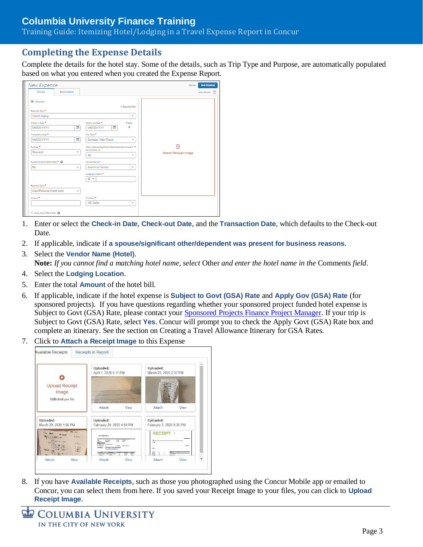Training Guide: Itemizing Hotel/Lodging in a Travel Expense Report in Concur

### <span id="page-2-0"></span>**Completing the Expense Details**

Complete the details for the hotel stay. Some of the details, such as Trip Type and Purpose, are automatically populated based on what you entered when you created the Expense Report.

| New Expense<br><b>Details</b><br>Itemizations |              |                                                                             | <b>Save Expense</b><br>Hide Receipt |
|-----------------------------------------------|--------------|-----------------------------------------------------------------------------|-------------------------------------|
|                                               |              |                                                                             |                                     |
| <b>Allocate</b>                               |              |                                                                             |                                     |
| Expense Type*                                 |              | · Required field                                                            |                                     |
| Hotel/Lodging                                 |              | v                                                                           |                                     |
| Check-in Date *                               |              | Check-out Date *<br>Nights:                                                 |                                     |
| <b>MMDD/YYYY</b>                              | 謂            | 田<br>$\mathbf{0}$<br><b>MM/DD/YYYY</b>                                      |                                     |
| Transaction Date *                            |              | Trip Type *                                                                 |                                     |
| <b>MMDD/YYYY</b>                              | 囲            | Domestic / Non-Travel<br>v                                                  |                                     |
| Purpose <sup>*</sup>                          |              | ß<br>Was a spousalsignificant otheridependent present *<br>for business re- |                                     |
| Research                                      | v            | Attach Receipt Image<br>No<br>v.                                            |                                     |
| Subject to Govt (GSA) Rate * @                |              | Vendor Name *                                                               |                                     |
| No                                            | v            | Search for Vendor<br>v                                                      |                                     |
|                                               |              | Lodging Location*                                                           |                                     |
|                                               |              | $\circ \cdot$                                                               |                                     |
| Payment Type *                                |              |                                                                             |                                     |
| Cash/Personal Credit Card                     | $\mathbf{v}$ |                                                                             |                                     |
| Amount <sup>*</sup>                           |              | Currency*                                                                   |                                     |
|                                               |              | US, Dollar<br>v                                                             |                                     |
| Apply Govt (GSA) Rate @                       |              |                                                                             |                                     |

- 1. Enter or select the **Check-in Date**, **Check-out Date**, and the **Transaction Date**, which defaults to the Check-out Date.
- 2. If applicable, indicate if **a spouse/significant other/dependent was present for business reasons**.
- 3. Select the **Vendor Name (Hotel)**. **Note:** *If you cannot find a matching hotel name, select* Other *and enter the hotel name in the* Comments *field.*
- 4. Select the **Lodging Location**.
- 5. Enter the total **Amount** of the hotel bill.
- 6. If applicable, indicate if the hotel expense is **Subject to Govt (GSA) Rate** and **Apply Gov (GSA) Rate** (for sponsored projects). If you have questions regarding whether your sponsored project funded hotel expense is Subject to Govt (GSA) Rate, please contact you[r Sponsored Projects Finance Project Manager.](https://www.finance.columbia.edu/content/sponsored-projects-finance-team) If your trip is Subject to Govt (GSA) Rate, select **Yes**. Concur will prompt you to check the Apply Govt (GSA) Rate box and complete an itinerary. See the section on Creating a Travel Allowance Itinerary for GSA Rates.
- 7. Click to **Attach a Receipt Image** to this Expense



8. If you have **Available Receipts**, such as those you photographed using the Concur Mobile app or emailed to Concur, you can select them from here. If you saved your Receipt Image to your files, you can click to **Upload Receipt Image**.

**COLUMBIA UNIVERSITY** IN THE CITY OF NEW YORK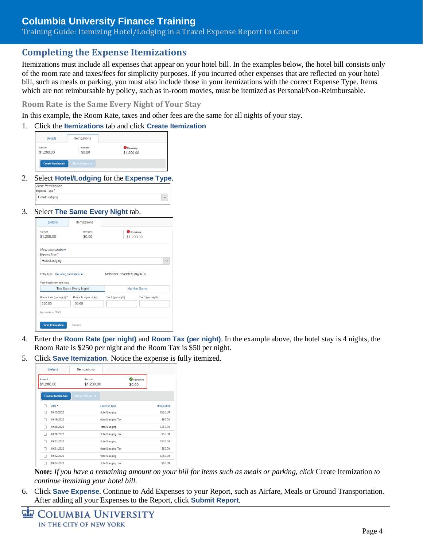Training Guide: Itemizing Hotel/Lodging in a Travel Expense Report in Concur

### <span id="page-3-0"></span>**Completing the Expense Itemizations**

Itemizations must include all expenses that appear on your hotel bill. In the examples below, the hotel bill consists only of the room rate and taxes/fees for simplicity purposes. If you incurred other expenses that are reflected on your hotel bill, such as meals or parking, you must also include those in your itemizations with the correct Expense Type. Items which are not reimbursable by policy, such as in-room movies, must be itemized as Personal/Non-Reimbursable.

<span id="page-3-1"></span>**Room Rate is the Same Every Night of Your Stay**

In this example, the Room Rate, taxes and other fees are the same for all nights of your stay.

1. Click the **Itemizations** tab and click **Create Itemization**

| <b>Details</b>             | <b>Itemizations</b>               |
|----------------------------|-----------------------------------|
| Amount<br>\$1,200.00       | Itemized<br>\$0.00                |
| <b>Create Itemization</b>  | More Actions $\blacktriangledown$ |
| $\sim$<br>------<br>$\sim$ | - -                               |

2. Select **Hotel/Lodging** for the **Expense Type**.

| ÷ |  |
|---|--|
|   |  |

3. Select **The Same Every Night** tab.

| Amount<br>\$1,200.00                                 | Itemized<br>\$0.00   |                                     | <b>O</b> Remaining<br>\$1,200.00 |
|------------------------------------------------------|----------------------|-------------------------------------|----------------------------------|
| <b>New Itemization</b><br>Expense Type *             |                      |                                     |                                  |
|                                                      |                      |                                     |                                  |
| Hotel/Lodging<br>Entry Type: Recurring Itemization v |                      | 10/19/2020 - 10/23/2020 (Nights: 4) |                                  |
| Your hotel room rate was:                            | The Same Every Night |                                     | Not the Same                     |
| Room Rate (per night) *                              | Room Tax (per night) | Tax 2 (per night)                   | Tax 3 (per night)                |
| 250.00                                               | 50.00                |                                     |                                  |

- 4. Enter the **Room Rate (per night)** and **Room Tax (per night)**. In the example above, the hotel stay is 4 nights, the Room Rate is \$250 per night and the Room Tax is \$50 per night.
- 5. Click **Save Itemization**. Notice the expense is fully itemized.

|                      | <b>Details</b>            | <b>Itemizations</b>               |                          |                     |                  |
|----------------------|---------------------------|-----------------------------------|--------------------------|---------------------|------------------|
| Amount<br>\$1,200.00 |                           | <b>Itemized</b><br>\$1,200.00     |                          | Remaining<br>\$0.00 |                  |
|                      | <b>Create Itemization</b> | More Actions $\blacktriangledown$ |                          |                     |                  |
|                      | Date $\triangle$          |                                   | <b>Expense Type</b>      |                     | <b>Requested</b> |
|                      | 10/19/2020                |                                   | Hotel/Lodging            |                     | \$250.00         |
| ┌                    | 10/19/2020                |                                   | <b>Hotel/Lodging Tax</b> |                     | \$50.00          |
| ┌                    | 10/20/2020                |                                   | Hotel/Lodging            |                     | \$250.00         |
|                      | 10/20/2020                |                                   | <b>Hotel/Lodging Tax</b> |                     | \$50.00          |
| ┌                    | 10/21/2020                |                                   | Hotel/Lodging            |                     | \$250.00         |
| г                    | 10/21/2020                |                                   | <b>Hotel/Lodging Tax</b> |                     | \$50.00          |
| г                    | 10/22/2020                |                                   | Hotel/Lodging            |                     | \$250.00         |
|                      | 10/22/2020                |                                   | <b>Hotel/Lodging Tax</b> |                     | \$50.00          |

**Note:** *If you have a remaining amount on your bill for items such as meals or parking, click* Create Itemization *to continue itemizing your hotel bill.*

```
COLUMBIA UNIVERSITY
IN THE CITY OF NEW YORK
```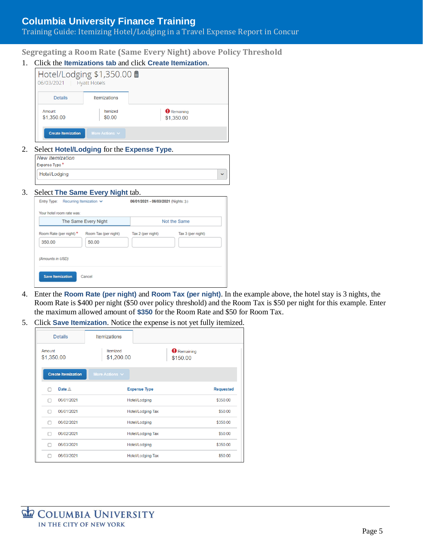#### Training Guide: Itemizing Hotel/Lodging in a Travel Expense Report in Concur

<span id="page-4-0"></span>**Segregating a Room Rate (Same Every Night) above Policy Threshold**

1. Click the **Itemizations tab** and click **Create Itemization**.

| 06/03/2021                | Hotel/Lodging \$1,350.00 m<br><b>Hyatt Hotels</b> |                                  |
|---------------------------|---------------------------------------------------|----------------------------------|
| <b>Details</b>            | <b>Itemizations</b>                               |                                  |
| Amount<br>\$1,350.00      | Itemized<br>\$0.00                                | <b>O</b> Remaining<br>\$1,350.00 |
| <b>Create Itemization</b> | More Actions $\vee$                               |                                  |

2. Select **Hotel/Lodging** for the **Expense Type**.

| <b>New Itemization</b> |              |
|------------------------|--------------|
| Expense Type *         |              |
| Hotel/Lodging          | $\checkmark$ |

#### 3. Select **The Same Every Night** tab.

| Recurring Itemization $\vee$<br>Entry Type:           |                               | 06/01/2021 - 06/03/2021 (Nights: 3) |                   |
|-------------------------------------------------------|-------------------------------|-------------------------------------|-------------------|
| Your hotel room rate was:                             |                               |                                     |                   |
|                                                       | The Same Every Night          |                                     | Not the Same      |
| Room Rate (per night) *<br>350.00<br>(Amounts in USD) | Room Tax (per night)<br>50.00 | Tax 2 (per night)                   | Tax 3 (per night) |
| <b>Save Itemization</b>                               | Cancel                        |                                     |                   |

- 4. Enter the **Room Rate (per night)** and **Room Tax (per night)**. In the example above, the hotel stay is 3 nights, the Room Rate is \$400 per night (\$50 over policy threshold) and the Room Tax is \$50 per night for this example. Enter the maximum allowed amount of **\$350** for the Room Rate and \$50 for Room Tax.
- 5. Click **Save Itemization**. Notice the expense is not yet fully itemized.

|                      | <b>Details</b>            | <b>Itemizations</b>           |                     |                                |                  |
|----------------------|---------------------------|-------------------------------|---------------------|--------------------------------|------------------|
| Amount<br>\$1,350.00 |                           | <b>Itemized</b><br>\$1,200.00 |                     | <b>O</b> Remaining<br>\$150.00 |                  |
|                      | <b>Create Itemization</b> | More Actions V                |                     |                                |                  |
|                      | Date $=$                  |                               | <b>Expense Type</b> |                                | <b>Requested</b> |
|                      | 06/01/2021                |                               | Hotel/Lodging       |                                | \$350.00         |
|                      | 06/01/2021                |                               | Hotel/Lodging Tax   |                                | \$50.00          |
|                      | 06/02/2021                |                               | Hotel/Lodging       |                                | \$350.00         |
|                      | 06/02/2021                |                               | Hotel/Lodging Tax   |                                | \$50.00          |
|                      | 06/03/2021                |                               | Hotel/Lodging       |                                | \$350.00         |
|                      | 06/03/2021                |                               | Hotel/Lodging Tax   |                                | \$50.00          |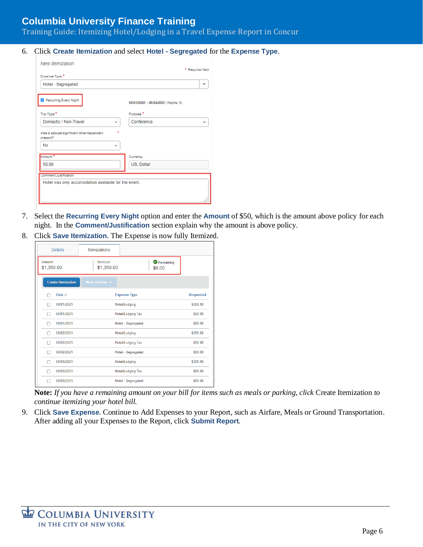Training Guide: Itemizing Hotel/Lodging in a Travel Expense Report in Concur

6. Click **Create Itemization** and select **Hotel - Segregated** for the **Expense Type**.

| <b>New Itemization</b>                                                        | * Required field                    |
|-------------------------------------------------------------------------------|-------------------------------------|
| Expense Type *                                                                |                                     |
| Hotel - Segregated                                                            | v                                   |
| Recurring Every Night                                                         | 06/01/2021 - 06/04/2021 (Nights: 3) |
| Trip Type *                                                                   | Purpose <sup>*</sup>                |
| Domestic / Non-Travel<br>$\checkmark$                                         | Conference                          |
| ×<br>Was a spouse/significant other/dependent<br>present?<br>No<br>v          |                                     |
| Amount *                                                                      | Currency                            |
| 50.00                                                                         | US, Dollar                          |
| Comment/Justification<br>Hotel was only accomodation available for the event. |                                     |
|                                                                               |                                     |

- 7. Select the **Recurring Every Night** option and enter the **Amount** of \$50, which is the amount above policy for each night. In the **Comment/Justification** section explain why the amount is above policy.
- 8. Click **Save Itemization**. The Expense is now fully Itemized.

| <b>Details</b>            | Itemizations           |                          |                  |
|---------------------------|------------------------|--------------------------|------------------|
| Amount<br>\$1,350.00      | Itemized<br>\$1,350.00 | \$0.00                   | Remaining        |
| <b>Create Itemization</b> | More Actions $\vee$    |                          |                  |
| Date $=$                  |                        | <b>Expense Type</b>      | <b>Requested</b> |
| 06/01/2021                |                        | Hotel/Lodging            | \$350.00         |
| 06/01/2021                |                        | <b>Hotel/Lodging Tax</b> | \$50.00          |
| 06/01/2021                |                        | Hotel - Segregated       | \$50.00          |
| 06/02/2021                |                        | Hotel/Lodging            | \$350.00         |
| 06/02/2021                |                        | <b>Hotel/Lodging Tax</b> | \$50.00          |
| 06/02/2021                |                        | Hotel - Segregated       | \$50.00          |
| 06/03/2021                |                        | Hotel/Lodging            | \$350.00         |
| 06/03/2021                |                        | Hotel/Lodging Tax        | \$50.00          |
| 06/03/2021                |                        | Hotel - Segregated       | \$50.00          |

**Note:** *If you have a remaining amount on your bill for items such as meals or parking, click* Create Itemization *to continue itemizing your hotel bill.*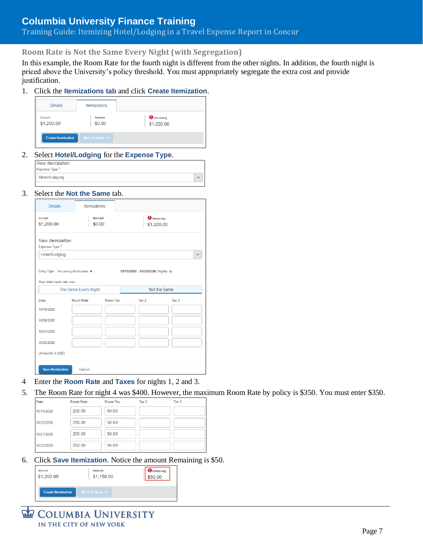### Training Guide: Itemizing Hotel/Lodging in a Travel Expense Report in Concur

<span id="page-6-0"></span>**Room Rate is Not the Same Every Night (with Segregation)**

In this example, the Room Rate for the fourth night is different from the other nights. In addition, the fourth night is priced above the University's policy threshold. You must appropriately segregate the extra cost and provide justification.

×,

1. Click the **Itemizations tab** and click **Create Itemization**.

| <b>Details</b>            | <b>Itemizations</b>               |                                  |
|---------------------------|-----------------------------------|----------------------------------|
| Amount<br>\$1,200.00      | <b>Itemized</b><br>\$0.00         | <b>O</b> Remaining<br>\$1,200.00 |
| <b>Create Itemization</b> | More Actions $\blacktriangledown$ |                                  |

2. Select **Hotel/Lodging** for the **Expense Type**.

| <b>New Itemization</b> |
|------------------------|
| Expense Type *         |
| Hotel/Lodging          |
|                        |

3. Select the **Not the Same** tab.

| <b>Details</b>                                                                   | <b>Itemizations</b> |                           |                                  |              |
|----------------------------------------------------------------------------------|---------------------|---------------------------|----------------------------------|--------------|
| Amount<br>\$1,200.00                                                             |                     | <b>Itemized</b><br>\$0.00 | <b>O</b> Remaining<br>\$1,200.00 |              |
| <b>New Itemization</b><br>Expense Type *                                         |                     |                           |                                  |              |
| Hotel/Lodging                                                                    |                     |                           |                                  | $\checkmark$ |
| Your hotel room rate was:<br>The Same Every Night                                |                     |                           |                                  | Not the Same |
|                                                                                  | Room Rate           | Room Tax                  | Tax 2                            | Tax 3        |
|                                                                                  |                     |                           |                                  |              |
|                                                                                  |                     |                           |                                  |              |
|                                                                                  |                     |                           |                                  |              |
|                                                                                  |                     |                           |                                  |              |
|                                                                                  |                     |                           |                                  |              |
|                                                                                  |                     |                           |                                  |              |
| Date<br>10/19/2020<br>10/20/2020<br>10/21/2020<br>10/22/2020<br>(Amounts in USD) |                     |                           |                                  |              |

- 4 Enter the **Room Rate** and **Taxes** for nights 1, 2 and 3.
- 5. The Room Rate for night 4 was \$400. However, the maximum Room Rate by policy is \$350. You must enter \$350.

| Date       | Room Rate | Room Tax | Tax <sub>2</sub> | Tax <sub>3</sub> |  |
|------------|-----------|----------|------------------|------------------|--|
| 10/19/2020 | 200.00    | 50.00    |                  |                  |  |
| 10/20/2020 | 200.00    | 50.00    |                  |                  |  |
| 10/21/2020 | 200.00    | 50.00    |                  |                  |  |
| 10/22/2020 | 350.00    | 50.00    |                  |                  |  |

6. Click **Save Itemization**. Notice the amount Remaining is \$50.

| Amount                    | Itemized                          | $\mathbf{D}$ Remaining |
|---------------------------|-----------------------------------|------------------------|
| \$1,200.00                | \$1,150.00                        | \$50.00                |
| <b>Create Itemization</b> | More Actions $\blacktriangledown$ |                        |

COLUMBIA UNIVERSITY IN THE CITY OF NEW YORK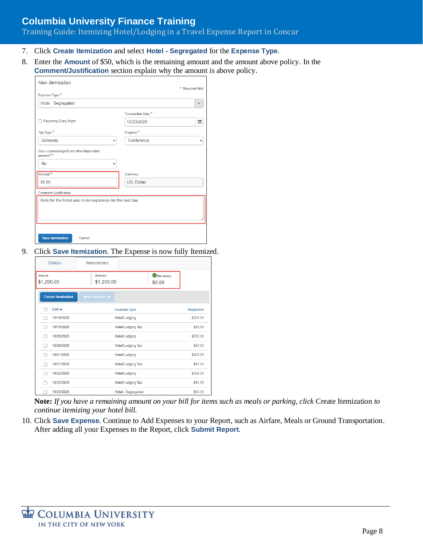### Training Guide: Itemizing Hotel/Lodging in a Travel Expense Report in Concur

- 7. Click **Create Itemization** and select **Hotel - Segregated** for the **Expense Type**.
- 8. Enter the **Amount** of \$50, which is the remaining amount and the amount above policy. In the **Comment/Justification** section explain why the amount is above policy.

|                                                        |                    | * Required field |
|--------------------------------------------------------|--------------------|------------------|
| Expense Type *                                         |                    |                  |
| Hotel - Segregated                                     |                    |                  |
|                                                        | Transaction Date * |                  |
| <b>Recurring Every Night</b>                           | 10/23/2020         | 讍                |
| Trip Type *                                            | Purpose*           |                  |
| <b>Domestic</b><br>$\checkmark$                        | Conference         |                  |
| <b>No</b><br>$\checkmark$<br>Amount <sup>*</sup>       | Currency           |                  |
| 50 00                                                  | US, Dollar         |                  |
| Comment/Justification                                  |                    |                  |
| Rate for the hotel was more expensive for the last day |                    |                  |
|                                                        |                    |                  |

9. Click **Save Itemization**. The Expense is now fully Itemized.

|                      | <b>Details</b>            | <b>Itemizations</b>               |                          |                  |
|----------------------|---------------------------|-----------------------------------|--------------------------|------------------|
| Amount<br>\$1,200.00 |                           | Itemized<br>\$1,200.00            | \$0.00                   | Remaining        |
|                      | <b>Create Itemization</b> | More Actions $\blacktriangledown$ |                          |                  |
|                      | Date $\triangle$          |                                   | <b>Expense Type</b>      | <b>Requested</b> |
|                      | 10/19/2020                |                                   | Hotel/Lodging            | \$200.00         |
|                      | 10/19/2020                |                                   | <b>Hotel/Lodging Tax</b> | \$50.00          |
| u                    | 10/20/2020                |                                   | Hotel/Lodging            | \$200.00         |
|                      | 10/20/2020                |                                   | <b>Hotel/Lodging Tax</b> | \$50.00          |
| п                    | 10/21/2020                |                                   | Hotel/Lodging            | \$200.00         |
|                      | 10/21/2020                |                                   | <b>Hotel/Lodging Tax</b> | \$50.00          |
| Ξ                    | 10/22/2020                |                                   | <b>Hotel/Lodging</b>     | \$350.00         |
|                      | 10/22/2020                |                                   | <b>Hotel/Lodging Tax</b> | \$50.00          |
|                      | 10/23/2020                |                                   | Hotel - Segregated       | \$50.00          |

**Note:** *If you have a remaining amount on your bill for items such as meals or parking, click* Create Itemization *to continue itemizing your hotel bill.*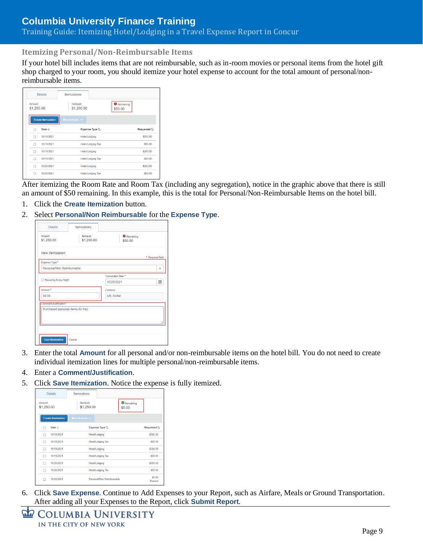### Training Guide: Itemizing Hotel/Lodging in a Travel Expense Report in Concur

#### <span id="page-8-0"></span>**Itemizing Personal/Non-Reimbursable Items**

If your hotel bill includes items that are not reimbursable, such as in-room movies or personal items from the hotel gift shop charged to your room, you should itemize your hotel expense to account for the total amount of personal/nonreimbursable items.

| <b>Details</b>            |            | <b>Itemizations</b>    |                   |                               |             |
|---------------------------|------------|------------------------|-------------------|-------------------------------|-------------|
| Amount<br>\$1,250.00      |            | Itemized<br>\$1,200.00 |                   | <b>O</b> Remaining<br>\$50.00 |             |
| <b>Create Itemization</b> |            | More Actions $\vee$    |                   |                               |             |
| Date $=$                  |            |                        | Expense Type 1    |                               | Requested 1 |
| п                         | 10/18/2021 |                        | Hotel/Lodging     |                               | \$350.00    |
| Ω                         | 10/18/2021 |                        | Hotel/Lodging Tax |                               | \$50.00     |
| Ω                         | 10/19/2021 |                        | Hotel/Lodging     |                               | \$350.00    |
| Ω                         | 10/19/2021 |                        | Hotel/Lodging Tax |                               | \$50.00     |
| п                         | 10/20/2021 |                        | Hotel/Lodging     |                               | \$350.00    |
|                           | 10/20/2021 |                        | Hotel/Lodging Tax |                               | \$50.00     |

After itemizing the Room Rate and Room Tax (including any segregation), notice in the graphic above that there is still an amount of \$50 remaining. In this example, this is the total for Personal/Non-Reimbursable Items on the hotel bill.

- 1. Click the **Create Itemization** button.
- 2. Select **Personal/Non Reimbursable** for the **Expense Type**.

| <b>Details</b>                          | Itemizations           |                                              |                  |
|-----------------------------------------|------------------------|----------------------------------------------|------------------|
| Amount<br>\$1,250.00                    | Itemized<br>\$1,200.00 | <b>O</b> Remaining<br>\$50.00                |                  |
| <b>New Itemization</b>                  |                        |                                              | * Required field |
| Expense Type *                          |                        |                                              |                  |
| Personal/Non Reimbursable               |                        |                                              | $\checkmark$     |
| <b>Recurring Every Night</b><br>Amount* |                        | Transaction Date *<br>10/20/2021<br>Currency | <b>FIRE</b>      |
| 50.00                                   |                        | US, Dollar                                   |                  |
| Comment/Justification                   |                        |                                              |                  |
| Purchased personal items for trip.      |                        |                                              |                  |
| <b>Save Itemization</b>                 | Cancel                 |                                              |                  |

- 3. Enter the total **Amount** for all personal and/or non-reimbursable items on the hotel bill. You do not need to create individual itemization lines for multiple personal/non-reimbursable items.
- 4. Enter a **Comment/Justification**.
- 5. Click **Save Itemization**. Notice the expense is fully itemized.



| COLUMBIA UNIVERSITY     |
|-------------------------|
| IN THE CITY OF NEW YORK |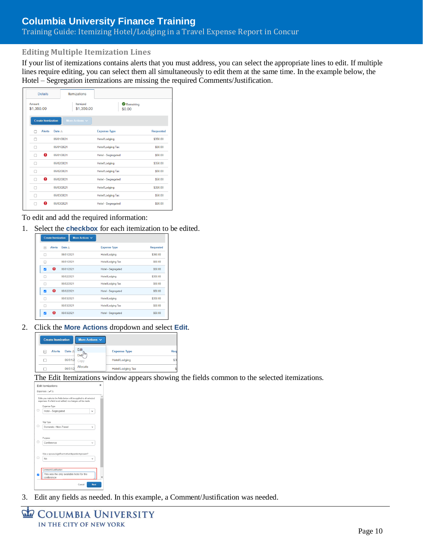### Training Guide: Itemizing Hotel/Lodging in a Travel Expense Report in Concur

#### <span id="page-9-0"></span>**Editing Multiple Itemization Lines**

If your list of itemizations contains alerts that you must address, you can select the appropriate lines to edit. If multiple lines require editing, you can select them all simultaneously to edit them at the same time. In the example below, the Hotel – Segregation itemizations are missing the required Comments/Justification.

| <b>Details</b>            | <b>Itemizations</b>    |                          |                  |
|---------------------------|------------------------|--------------------------|------------------|
| Amount<br>\$1,350.00      | Itemized<br>\$1,350.00 | Remaining<br>\$0.00      |                  |
| <b>Create Itemization</b> | More Actions v         |                          |                  |
| <b>Alerts</b>             | Date $=$               | <b>Expense Type</b>      | <b>Requested</b> |
| п                         | 06/01/2021             | <b>Hotel/Lodging</b>     | \$350.00         |
| г                         | 06/01/2021             | <b>Hotel/Lodging Tax</b> | \$50.00          |
| o<br>г                    | 06/01/2021             | Hotel - Segregated       | \$50.00          |
| п                         | 06/02/2021             | Hotel/Lodging            | \$350.00         |
|                           | 06/02/2021             | <b>Hotel/Lodging Tax</b> | \$50.00          |
| Ω<br>⊓                    | 06/02/2021             | Hotel - Segregated       | \$50.00          |
|                           | 06/03/2021             | Hotel/Lodging            | \$350.00         |
|                           | 06/03/2021             | <b>Hotel/Lodging Tax</b> | \$50.00          |
| ⋒                         | 06/03/2021             | Hotel - Segregated       | \$50.00          |

To edit and add the required information:

1. Select the **checkbox** for each itemization to be edited.

| <b>Create Itemization</b> | More Actions $\vee$ |                           |                  |
|---------------------------|---------------------|---------------------------|------------------|
| <b>Alerts</b><br>⊟        | Date $\equiv$       | <b>Expense Type</b>       | <b>Requested</b> |
| п                         | 06/01/2021          | <b>Hotel/Lodging</b>      | \$350.00         |
| ш                         | 06/01/2021          | <b>Hotel/Lodging Tax</b>  | \$50.00          |
| Q<br>⊽                    | 06/01/2021          | <b>Hotel - Segregated</b> | \$50.00          |
| n                         | 06/02/2021          | <b>Hotel/Lodging</b>      | \$350.00         |
| г                         | 06/02/2021          | <b>Hotel/Lodging Tax</b>  | \$50.00          |
| Ω<br>⊽                    | 06/02/2021          | <b>Hotel - Segregated</b> | \$50.00          |
| n                         | 06/03/2021          | <b>Hotel/Lodging</b>      | \$350.00         |
| □                         | 06/03/2021          | <b>Hotel/Lodging Tax</b>  | \$50.00          |
| A<br>⊽                    | 06/03/2021          | Hotel - Segregated        | \$50.00          |
|                           |                     |                           |                  |

2. Click the **More Actions** dropdown and select **Edit**.



The Edit Itemizations window appears showing the fields common to the selected itemizations.



3. Edit any fields as needed. In this example, a Comment/Justification was needed.

| COLUMBIA UNIVERSITY     |  |
|-------------------------|--|
| IN THE CITY OF NEW YORK |  |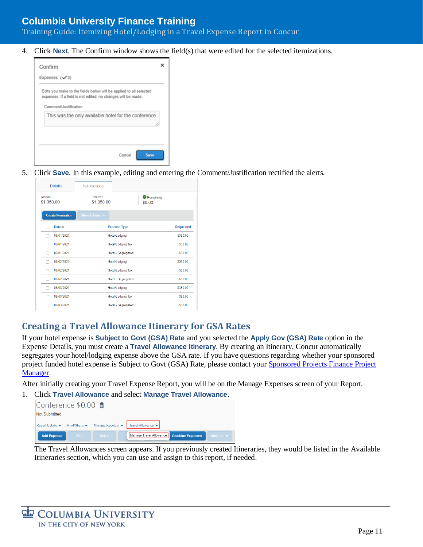Training Guide: Itemizing Hotel/Lodging in a Travel Expense Report in Concur

4. Click **Next**. The Confirm window shows the field(s) that were edited for the selected itemizations.



5. Click **Save**. In this example, editing and entering the Comment/Justification rectified the alerts.

| <b>Details</b>            | Itemizations             |                          |                  |
|---------------------------|--------------------------|--------------------------|------------------|
| Amount<br>\$1,350.00      | Itemized<br>\$1,350.00   | Remaining<br>\$0.00      |                  |
| <b>Create Itemization</b> | More Actions $\vee$      |                          |                  |
| Date $=$                  |                          | <b>Expense Type</b>      | <b>Requested</b> |
| 06/01/2021                |                          | Hotel/Lodging            | \$350.00         |
| 06/01/2021                | <b>Hotel/Lodging Tax</b> |                          | \$50.00          |
| 06/01/2021                |                          | Hotel - Segregated       | \$50.00          |
| 06/02/2021                |                          | Hotel/Lodging            | \$350.00         |
| 06/02/2021<br>- 11        |                          | <b>Hotel/Lodging Tax</b> | \$50.00          |
| 06/02/2021                |                          | Hotel - Segregated       | \$50.00          |
| 06/03/2021                | Hotel/Lodging            |                          | \$350.00         |
| 06/03/2021                |                          | <b>Hotel/Lodging Tax</b> | \$50.00          |
| 06/03/2021                |                          | Hotel - Segregated       | \$50.00          |

#### <span id="page-10-0"></span>**Creating a Travel Allowance Itinerary for GSA Rates**

If your hotel expense is **Subject to Govt (GSA) Rate** and you selected the **Apply Gov (GSA) Rate** option in the Expense Details, you must create a **Travel Allowance Itinerary**. By creating an Itinerary, Concur automatically segregates your hotel/lodging expense above the GSA rate. If you have questions regarding whether your sponsored project funded hotel expense is Subject to Govt (GSA) Rate, please contact you[r Sponsored Projects Finance Project](https://www.finance.columbia.edu/content/sponsored-projects-finance-team)  [Manager.](https://www.finance.columbia.edu/content/sponsored-projects-finance-team)

After initially creating your Travel Expense Report, you will be on the Manage Expenses screen of your Report.

1. Click **Travel Allowance** and select **Manage Travel Allowance**.

| Conference \$0.00 量            |      |               |                                          |                              |
|--------------------------------|------|---------------|------------------------------------------|------------------------------|
| Not Submitted                  |      |               |                                          |                              |
| Report Details ▼ Print/Share ▼ |      |               | Manage Receipts ▼ Travel Allowance ▼     |                              |
| <b>Add Expense</b>             | Edit | <b>Delete</b> | Manage Travel Allowance Combine Expenses | Move to $\blacktriangledown$ |

The Travel Allowances screen appears. If you previously created Itineraries, they would be listed in the Available Itineraries section, which you can use and assign to this report, if needed.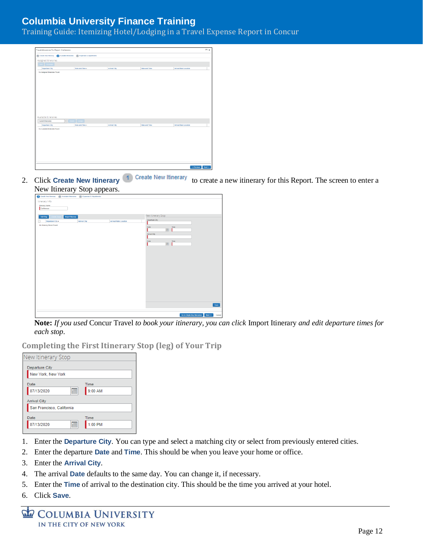Training Guide: Itemizing Hotel/Lodging in a Travel Expense Report in Concur

| (1) Create New Rinerary 2 Available Hineraries (1) Expenses & Adjustments<br>Assigned Itineraries<br>Date and Time +<br><b>Arrival City</b><br><b>Date and Time</b><br><b>Arrival Rate Location</b><br>Departure City<br>No Assigned Itineraries Found<br>Dekter Assign |                                                              |                 |                     |               |                              |
|-------------------------------------------------------------------------------------------------------------------------------------------------------------------------------------------------------------------------------------------------------------------------|--------------------------------------------------------------|-----------------|---------------------|---------------|------------------------------|
|                                                                                                                                                                                                                                                                         |                                                              |                 |                     |               |                              |
|                                                                                                                                                                                                                                                                         |                                                              |                 |                     |               |                              |
|                                                                                                                                                                                                                                                                         | Edit                                                         |                 |                     |               |                              |
|                                                                                                                                                                                                                                                                         |                                                              |                 |                     |               |                              |
|                                                                                                                                                                                                                                                                         |                                                              |                 |                     |               |                              |
|                                                                                                                                                                                                                                                                         |                                                              |                 |                     |               |                              |
|                                                                                                                                                                                                                                                                         |                                                              |                 |                     |               |                              |
|                                                                                                                                                                                                                                                                         |                                                              |                 |                     |               |                              |
|                                                                                                                                                                                                                                                                         |                                                              |                 |                     |               |                              |
|                                                                                                                                                                                                                                                                         |                                                              |                 |                     |               |                              |
|                                                                                                                                                                                                                                                                         |                                                              |                 |                     |               |                              |
|                                                                                                                                                                                                                                                                         |                                                              |                 |                     |               |                              |
|                                                                                                                                                                                                                                                                         |                                                              |                 |                     |               |                              |
|                                                                                                                                                                                                                                                                         |                                                              |                 |                     |               |                              |
|                                                                                                                                                                                                                                                                         |                                                              |                 |                     |               |                              |
|                                                                                                                                                                                                                                                                         |                                                              |                 |                     |               |                              |
|                                                                                                                                                                                                                                                                         |                                                              |                 |                     |               |                              |
|                                                                                                                                                                                                                                                                         |                                                              |                 |                     |               |                              |
|                                                                                                                                                                                                                                                                         | Available Itineraries                                        |                 |                     |               |                              |
|                                                                                                                                                                                                                                                                         |                                                              |                 |                     |               |                              |
|                                                                                                                                                                                                                                                                         |                                                              | Date and Time A | <b>Arrival City</b> | Date and Time | <b>Arrival Rate Location</b> |
|                                                                                                                                                                                                                                                                         | Departure City                                               |                 |                     |               |                              |
|                                                                                                                                                                                                                                                                         |                                                              |                 |                     |               |                              |
|                                                                                                                                                                                                                                                                         |                                                              |                 |                     |               |                              |
|                                                                                                                                                                                                                                                                         |                                                              |                 |                     |               |                              |
|                                                                                                                                                                                                                                                                         |                                                              |                 |                     |               |                              |
|                                                                                                                                                                                                                                                                         |                                                              |                 |                     |               |                              |
|                                                                                                                                                                                                                                                                         |                                                              |                 |                     |               |                              |
|                                                                                                                                                                                                                                                                         | <b>Current Illneraries</b><br>No Available Itineraries Found |                 |                     |               |                              |
|                                                                                                                                                                                                                                                                         |                                                              |                 |                     |               |                              |

2. Click **Create New Itinerary** 1 Create New Itinerary to create a new itinerary for this Report. The screen to enter a New Itinerary Stop appears.

| . .<br>$\sim$ $\sim$ $\sim$<br>┙                                        | . <b>T</b><br>$\mathbf{r}$ |                              |                                       |                              |                   |
|-------------------------------------------------------------------------|----------------------------|------------------------------|---------------------------------------|------------------------------|-------------------|
| Create New Hinerary (2) Available Hineraries (3) Expenses & Adjustments |                            |                              |                                       |                              |                   |
| Itinerary Info                                                          |                            |                              |                                       |                              |                   |
| <b>Itinerary Name</b>                                                   |                            |                              |                                       |                              |                   |
| Conference                                                              |                            |                              |                                       |                              |                   |
|                                                                         |                            |                              |                                       |                              |                   |
| <b>Import Hinerary</b><br>Add Stop                                      |                            |                              | New Itinerary Stop                    |                              |                   |
| Departure City +                                                        | <b>Arrival City</b>        | <b>Arrival Rate Location</b> | Departure City                        |                              |                   |
| No Itinerary Rous Found                                                 |                            |                              | Date in the control of the control of |                              |                   |
|                                                                         |                            |                              | Time<br>$\blacksquare$                |                              |                   |
|                                                                         |                            |                              | Arrival City                          |                              |                   |
|                                                                         |                            |                              |                                       |                              |                   |
|                                                                         |                            |                              | Date<br>Time                          |                              |                   |
|                                                                         |                            |                              | 圕                                     |                              |                   |
|                                                                         |                            |                              |                                       |                              |                   |
|                                                                         |                            |                              |                                       |                              |                   |
|                                                                         |                            |                              |                                       |                              |                   |
|                                                                         |                            |                              |                                       |                              |                   |
|                                                                         |                            |                              |                                       |                              |                   |
|                                                                         |                            |                              |                                       |                              |                   |
|                                                                         |                            |                              |                                       |                              |                   |
|                                                                         |                            |                              |                                       |                              |                   |
|                                                                         |                            |                              |                                       |                              |                   |
|                                                                         |                            |                              |                                       |                              |                   |
|                                                                         |                            |                              |                                       |                              |                   |
|                                                                         |                            |                              |                                       |                              |                   |
|                                                                         |                            |                              |                                       |                              |                   |
|                                                                         |                            |                              |                                       |                              |                   |
|                                                                         |                            |                              |                                       |                              | Save              |
|                                                                         |                            |                              |                                       |                              |                   |
|                                                                         |                            |                              |                                       |                              |                   |
|                                                                         |                            |                              |                                       | Go to Single Day Itineraries | Next >><br>Cancel |
|                                                                         |                            |                              |                                       |                              |                   |

**Note:** *If you used* Concur Travel *to book your itinerary, you can click* Import Itinerary *and edit departure times for each stop.*

<span id="page-11-0"></span>**Completing the First Itinerary Stop (leg) of Your Trip**



- 1. Enter the **Departure City**. You can type and select a matching city or select from previously entered cities.
- 2. Enter the departure **Date** and **Time**. This should be when you leave your home or office.
- 3. Enter the **Arrival City**.
- 4. The arrival **Date** defaults to the same day. You can change it, if necessary.
- 5. Enter the **Time** of arrival to the destination city. This should be the time you arrived at your hotel.
- 6. Click **Save**.